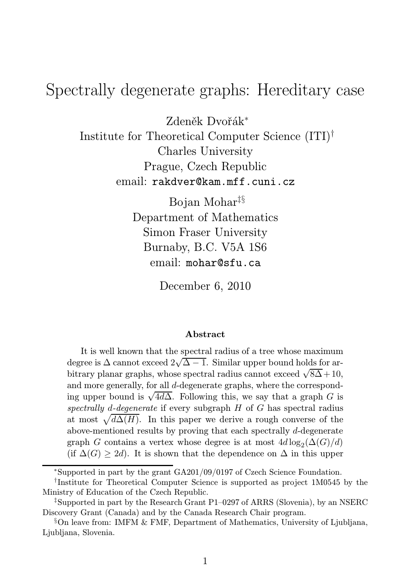# Spectrally degenerate graphs: Hereditary case

Zdeněk Dvořák<sup>∗</sup> Institute for Theoretical Computer Science (ITI)† Charles University Prague, Czech Republic email: rakdver@kam.mff.cuni.cz

> Bojan Mohar‡§ Department of Mathematics Simon Fraser University Burnaby, B.C. V5A 1S6 email: mohar@sfu.ca

> > December 6, 2010

#### Abstract

It is well known that the spectral radius of a tree whose maximum degree is  $\Delta$  cannot exceed  $2\sqrt{\Delta - 1}$ . Similar upper bound holds for arbitrary planar graphs, whose spectral radius cannot exceed  $\sqrt{8\Delta}+10$ , and more generally, for all d-degenerate graphs, where the corresponding upper bound is  $\sqrt{4d\Delta}$ . Following this, we say that a graph G is spectrally d-degenerate if every subgraph  $H$  of  $G$  has spectral radius at most  $\sqrt{d\Delta(H)}$ . In this paper we derive a rough converse of the above-mentioned results by proving that each spectrally d-degenerate graph G contains a vertex whose degree is at most  $4d \log_2(\Delta(G)/d)$ (if  $\Delta(G) \geq 2d$ ). It is shown that the dependence on  $\Delta$  in this upper

<sup>∗</sup>Supported in part by the grant GA201/09/0197 of Czech Science Foundation.

<sup>†</sup> Institute for Theoretical Computer Science is supported as project 1M0545 by the Ministry of Education of the Czech Republic.

<sup>‡</sup>Supported in part by the Research Grant P1–0297 of ARRS (Slovenia), by an NSERC Discovery Grant (Canada) and by the Canada Research Chair program.

<sup>§</sup>On leave from: IMFM & FMF, Department of Mathematics, University of Ljubljana, Ljubliana, Slovenia.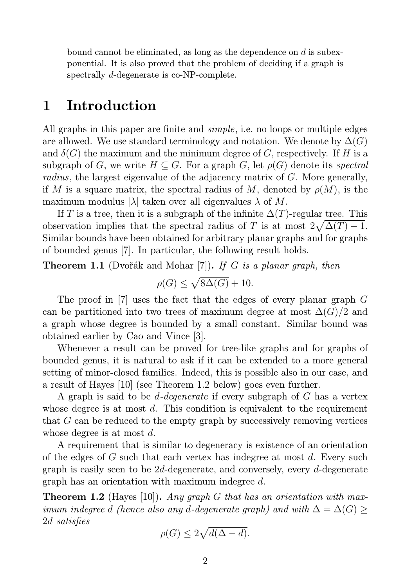bound cannot be eliminated, as long as the dependence on  $d$  is subexponential. It is also proved that the problem of deciding if a graph is spectrally d-degenerate is co-NP-complete.

## 1 Introduction

All graphs in this paper are finite and *simple*, i.e. no loops or multiple edges are allowed. We use standard terminology and notation. We denote by  $\Delta(G)$ and  $\delta(G)$  the maximum and the minimum degree of G, respectively. If H is a subgraph of G, we write  $H \subseteq G$ . For a graph G, let  $\rho(G)$  denote its *spectral radius*, the largest eigenvalue of the adjacency matrix of G. More generally, if M is a square matrix, the spectral radius of M, denoted by  $\rho(M)$ , is the maximum modulus  $|\lambda|$  taken over all eigenvalues  $\lambda$  of M.

If T is a tree, then it is a subgraph of the infinite  $\Delta(T)$ -regular tree. This observation implies that the spectral radius of T is at most  $2\sqrt{\Delta(T)} - 1$ . Similar bounds have been obtained for arbitrary planar graphs and for graphs of bounded genus [7]. In particular, the following result holds.

Theorem 1.1 (Dvořák and Mohar [7]). *If* G *is a planar graph, then*

$$
\rho(G)\leq \sqrt{8\Delta(G)}+10.
$$

The proof in [7] uses the fact that the edges of every planar graph G can be partitioned into two trees of maximum degree at most  $\Delta(G)/2$  and a graph whose degree is bounded by a small constant. Similar bound was obtained earlier by Cao and Vince [3].

Whenever a result can be proved for tree-like graphs and for graphs of bounded genus, it is natural to ask if it can be extended to a more general setting of minor-closed families. Indeed, this is possible also in our case, and a result of Hayes [10] (see Theorem 1.2 below) goes even further.

A graph is said to be d*-degenerate* if every subgraph of G has a vertex whose degree is at most  $d$ . This condition is equivalent to the requirement that G can be reduced to the empty graph by successively removing vertices whose degree is at most  $d$ .

A requirement that is similar to degeneracy is existence of an orientation of the edges of G such that each vertex has indegree at most  $d$ . Every such graph is easily seen to be 2d-degenerate, and conversely, every d-degenerate graph has an orientation with maximum indegree d.

Theorem 1.2 (Hayes [10]). *Any graph* G *that has an orientation with maximum indegree* d *(hence also any* d-degenerate graph) and with  $\Delta = \Delta(G) \geq$ 2d *satisfies*

$$
\rho(G) \le 2\sqrt{d(\Delta - d)}.
$$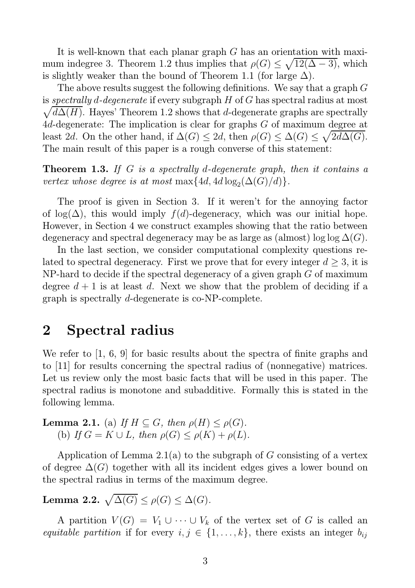It is well-known that each planar graph G has an orientation with maximum indegree 3. Theorem 1.2 thus implies that  $\rho(G) \leq \sqrt{12(\Delta - 3)}$ , which is slightly weaker than the bound of Theorem 1.1 (for large  $\Delta$ ).

The above results suggest the following definitions. We say that a graph G is *spectrally* d*-degenerate* if every subgraph H of G has spectral radius at most  $\sqrt{d\Delta(H)}$ . Hayes' Theorem 1.2 shows that d-degenerate graphs are spectrally 4d-degenerate: The implication is clear for graphs G of maximum degree at least 2d. On the other hand, if  $\Delta(G) \leq 2d$ , then  $\rho(G) \leq \Delta(G) \leq \sqrt{2d\Delta(G)}$ . The main result of this paper is a rough converse of this statement:

Theorem 1.3. *If* G *is a spectrally* d*-degenerate graph, then it contains a vertex whose degree is at most*  $\max\{4d, 4d \log_2(\Delta(G)/d)\}.$ 

The proof is given in Section 3. If it weren't for the annoying factor of log( $\Delta$ ), this would imply  $f(d)$ -degeneracy, which was our initial hope. However, in Section 4 we construct examples showing that the ratio between degeneracy and spectral degeneracy may be as large as (almost) log log  $\Delta(G)$ .

In the last section, we consider computational complexity questions related to spectral degeneracy. First we prove that for every integer  $d \geq 3$ , it is NP-hard to decide if the spectral degeneracy of a given graph  $G$  of maximum degree  $d + 1$  is at least d. Next we show that the problem of deciding if a graph is spectrally d-degenerate is co-NP-complete.

## 2 Spectral radius

We refer to [1, 6, 9] for basic results about the spectra of finite graphs and to [11] for results concerning the spectral radius of (nonnegative) matrices. Let us review only the most basic facts that will be used in this paper. The spectral radius is monotone and subadditive. Formally this is stated in the following lemma.

**Lemma 2.1.** (a) *If*  $H \subseteq G$ *, then*  $\rho(H) \leq \rho(G)$ *.* (b) *If*  $G = K \cup L$ *, then*  $\rho(G) \leq \rho(K) + \rho(L)$ *.* 

Application of Lemma 2.1(a) to the subgraph of G consisting of a vertex of degree  $\Delta(G)$  together with all its incident edges gives a lower bound on the spectral radius in terms of the maximum degree.

## Lemma 2.2.  $\sqrt{\Delta(G)} \leq \rho(G) \leq \Delta(G)$ .

A partition  $V(G) = V_1 \cup \cdots \cup V_k$  of the vertex set of G is called an *equitable partition* if for every  $i, j \in \{1, ..., k\}$ , there exists an integer  $b_{ij}$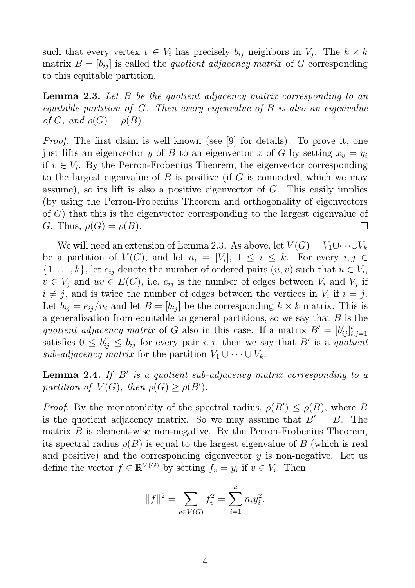such that every vertex  $v \in V_i$  has precisely  $b_{ij}$  neighbors in  $V_j$ . The  $k \times k$ matrix  $B = [b_{ij}]$  is called the *quotient adjacency matrix* of G corresponding to this equitable partition.

Lemma 2.3. *Let* B *be the quotient adjacency matrix corresponding to an equitable partition of* G*. Then every eigenvalue of* B *is also an eigenvalue of*  $G$ *, and*  $\rho(G) = \rho(B)$ *.* 

*Proof.* The first claim is well known (see [9] for details). To prove it, one just lifts an eigenvector y of B to an eigenvector x of G by setting  $x_v = y_i$ if  $v \in V_i$ . By the Perron-Frobenius Theorem, the eigenvector corresponding to the largest eigenvalue of  $B$  is positive (if  $G$  is connected, which we may assume), so its lift is also a positive eigenvector of G. This easily implies (by using the Perron-Frobenius Theorem and orthogonality of eigenvectors of G) that this is the eigenvector corresponding to the largest eigenvalue of G. Thus,  $\rho(G) = \rho(B)$ .  $\Box$ 

We will need an extension of Lemma 2.3. As above, let  $V(G) = V_1 \cup \cdots \cup V_k$ be a partition of  $V(G)$ , and let  $n_i = |V_i|, 1 \leq i \leq k$ . For every  $i, j \in$  $\{1,\ldots,k\}$ , let  $e_{ij}$  denote the number of ordered pairs  $(u, v)$  such that  $u \in V_i$ ,  $v \in V_j$  and  $uv \in E(G)$ , i.e.  $e_{ij}$  is the number of edges between  $V_i$  and  $V_j$  if  $i \neq j$ , and is twice the number of edges between the vertices in  $V_i$  if  $i = j$ . Let  $b_{ij} = e_{ij}/n_i$  and let  $B = [b_{ij}]$  be the corresponding  $k \times k$  matrix. This is a generalization from equitable to general partitions, so we say that  $B$  is the quotient adjacency matrix of G also in this case. If a matrix  $B' = [b'_{ij}]_{i,j}^k$  $i,j=1$ satisfies  $0 \leq b'_{ij} \leq b_{ij}$  for every pair i, j, then we say that B' is a quotient *sub-adjacency matrix* for the partition  $V_1 \cup \cdots \cup V_k$ .

Lemma 2.4. *If* B′ *is a quotient sub-adjacency matrix corresponding to a partition of*  $V(G)$ *, then*  $\rho(G) \geq \rho(B')$ *.* 

*Proof.* By the monotonicity of the spectral radius,  $\rho(B') \leq \rho(B)$ , where B is the quotient adjacency matrix. So we may assume that  $B' = B$ . The matrix  $B$  is element-wise non-negative. By the Perron-Frobenius Theorem, its spectral radius  $\rho(B)$  is equal to the largest eigenvalue of B (which is real and positive) and the corresponding eigenvector  $y$  is non-negative. Let us define the vector  $f \in \mathbb{R}^{V(G)}$  by setting  $f_v = y_i$  if  $v \in V_i$ . Then

$$
||f||^2 = \sum_{v \in V(G)} f_v^2 = \sum_{i=1}^k n_i y_i^2.
$$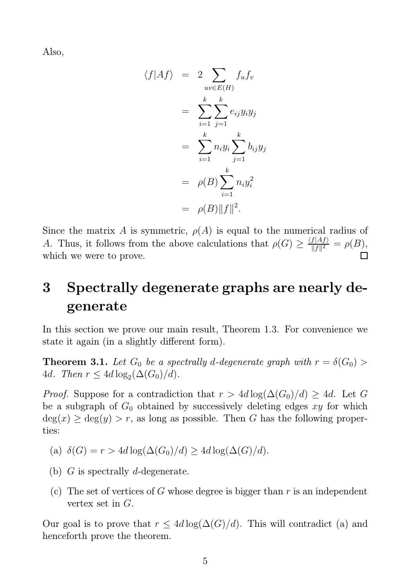Also,

$$
\langle f|Af \rangle = 2 \sum_{uv \in E(H)} f_u f_v
$$
  
= 
$$
\sum_{i=1}^k \sum_{j=1}^k e_{ij} y_i y_j
$$
  
= 
$$
\sum_{i=1}^k n_i y_i \sum_{j=1}^k b_{ij} y_j
$$
  
= 
$$
\rho(B) \sum_{i=1}^k n_i y_i^2
$$
  
= 
$$
\rho(B) ||f||^2.
$$

Since the matrix A is symmetric,  $\rho(A)$  is equal to the numerical radius of A. Thus, it follows from the above calculations that  $\rho(G) \geq \frac{\langle f|Af\rangle}{\|f\|^2}$  $\frac{f(Af)}{\|f\|^2} = \rho(B),$ which we were to prove.

# 3 Spectrally degenerate graphs are nearly degenerate

In this section we prove our main result, Theorem 1.3. For convenience we state it again (in a slightly different form).

**Theorem 3.1.** Let  $G_0$  be a spectrally d-degenerate graph with  $r = \delta(G_0)$  $4d.$  Then  $r \leq 4d \log_2(\Delta(G_0)/d)$ .

*Proof.* Suppose for a contradiction that  $r > 4d \log(\Delta(G_0)/d) \geq 4d$ . Let G be a subgraph of  $G_0$  obtained by successively deleting edges xy for which  $deg(x) \geq deg(y) > r$ , as long as possible. Then G has the following properties:

- (a)  $\delta(G) = r > 4d \log(\Delta(G_0)/d) \geq 4d \log(\Delta(G)/d).$
- (b)  $G$  is spectrally d-degenerate.
- (c) The set of vertices of G whose degree is bigger than  $r$  is an independent vertex set in G.

Our goal is to prove that  $r \leq 4d \log(\Delta(G)/d)$ . This will contradict (a) and henceforth prove the theorem.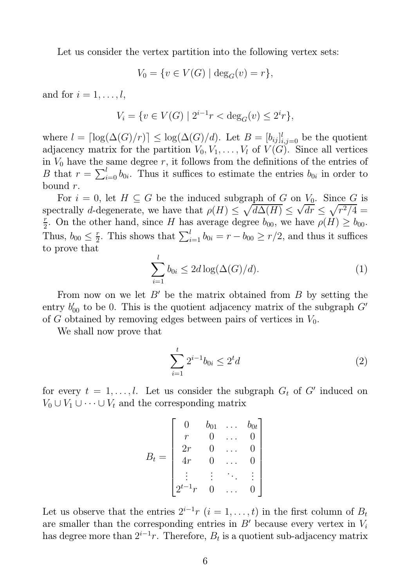Let us consider the vertex partition into the following vertex sets:

$$
V_0 = \{ v \in V(G) \mid \deg_G(v) = r \},\
$$

and for  $i = 1, \ldots, l$ ,

$$
V_i = \{ v \in V(G) \mid 2^{i-1}r < \deg_G(v) \le 2^i r \},
$$

where  $l = \lceil \log(\Delta(G)/r) \rceil \leq \log(\Delta(G)/d)$ . Let  $B = [b_{ij}]_{i,j=0}^l$  be the quotient adjacency matrix for the partition  $V_0, V_1, \ldots, V_l$  of  $V(G)$ . Since all vertices in  $V_0$  have the same degree r, it follows from the definitions of the entries of B that  $r = \sum_{i=0}^{l} b_{0i}$ . Thus it suffices to estimate the entries  $b_{0i}$  in order to bound  $r$ .

For  $i = 0$ , let  $H \subseteq G$  be the induced subgraph of G on  $V_0$ . Since G is spectrally d-degenerate, we have that  $\rho(H) \leq \sqrt{d\Delta(H)} \leq \sqrt{dr} \leq \sqrt{r^2/4} =$ r  $\frac{r}{2}$ . On the other hand, since H has average degree  $b_{00}$ , we have  $\rho(H) \ge b_{00}$ . Thus,  $b_{00} \leq \frac{r}{2}$  $\frac{r}{2}$ . This shows that  $\sum_{i=1}^{l} b_{0i} = r - b_{00} \ge r/2$ , and thus it suffices to prove that

$$
\sum_{i=1}^{l} b_{0i} \le 2d \log(\Delta(G)/d). \tag{1}
$$

From now on we let  $B'$  be the matrix obtained from  $B$  by setting the entry  $b'_{00}$  to be 0. This is the quotient adjacency matrix of the subgraph  $G'$ of G obtained by removing edges between pairs of vertices in  $V_0$ .

We shall now prove that

$$
\sum_{i=1}^{t} 2^{i-1} b_{0i} \le 2^t d \tag{2}
$$

for every  $t = 1, \ldots, l$ . Let us consider the subgraph  $G_t$  of  $G'$  induced on  $V_0 \cup V_1 \cup \cdots \cup V_t$  and the corresponding matrix

$$
B_t = \begin{bmatrix} 0 & b_{01} & \dots & b_{0t} \\ r & 0 & \dots & 0 \\ 2r & 0 & \dots & 0 \\ 4r & 0 & \dots & 0 \\ \vdots & \vdots & \ddots & \vdots \\ 2^{t-1}r & 0 & \dots & 0 \end{bmatrix}
$$

Let us observe that the entries  $2^{i-1}r$   $(i = 1, \ldots, t)$  in the first column of  $B_t$ are smaller than the corresponding entries in  $B'$  because every vertex in  $V_i$ has degree more than  $2^{i-1}r$ . Therefore,  $B_t$  is a quotient sub-adjacency matrix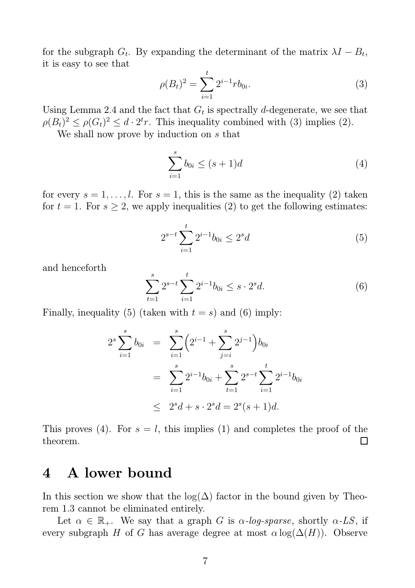for the subgraph  $G_t$ . By expanding the determinant of the matrix  $\lambda I - B_t$ , it is easy to see that

$$
\rho(B_t)^2 = \sum_{i=1}^t 2^{i-1} r b_{0i}.
$$
\n(3)

Using Lemma 2.4 and the fact that  $G_t$  is spectrally d-degenerate, we see that  $\rho(B_t)^2 \leq \rho(G_t)^2 \leq d \cdot 2^t r$ . This inequality combined with (3) implies (2).

We shall now prove by induction on s that

$$
\sum_{i=1}^{s} b_{0i} \le (s+1)d
$$
 (4)

for every  $s = 1, \ldots, l$ . For  $s = 1$ , this is the same as the inequality (2) taken for  $t = 1$ . For  $s \geq 2$ , we apply inequalities (2) to get the following estimates:

$$
2^{s-t} \sum_{i=1}^{t} 2^{i-1} b_{0i} \le 2^s d \tag{5}
$$

and henceforth

$$
\sum_{t=1}^{s} 2^{s-t} \sum_{i=1}^{t} 2^{i-1} b_{0i} \le s \cdot 2^s d. \tag{6}
$$

Finally, inequality (5) (taken with  $t = s$ ) and (6) imply:

$$
2^{s} \sum_{i=1}^{s} b_{0i} = \sum_{i=1}^{s} \left( 2^{i-1} + \sum_{j=i}^{s} 2^{j-1} \right) b_{0i}
$$
  
= 
$$
\sum_{i=1}^{s} 2^{i-1} b_{0i} + \sum_{t=1}^{s} 2^{s-t} \sum_{i=1}^{t} 2^{i-1} b_{0i}
$$
  

$$
\leq 2^{s} d + s \cdot 2^{s} d = 2^{s} (s+1) d.
$$

This proves (4). For  $s = l$ , this implies (1) and completes the proof of the  $\Box$ theorem.

### 4 A lower bound

In this section we show that the log( $\Delta$ ) factor in the bound given by Theorem 1.3 cannot be eliminated entirely.

Let  $\alpha \in \mathbb{R}_+$ . We say that a graph G is  $\alpha$ -log-sparse, shortly  $\alpha$ -LS, if every subgraph H of G has average degree at most  $\alpha \log(\Delta(H))$ . Observe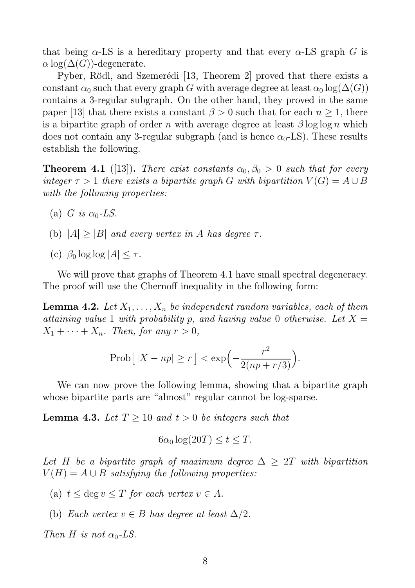that being  $\alpha$ -LS is a hereditary property and that every  $\alpha$ -LS graph G is  $\alpha$  log( $\Delta(G)$ )-degenerate.

Pyber, Rödl, and Szemerédi [13, Theorem 2] proved that there exists a constant  $\alpha_0$  such that every graph G with average degree at least  $\alpha_0 \log(\Delta(G))$ contains a 3-regular subgraph. On the other hand, they proved in the same paper [13] that there exists a constant  $\beta > 0$  such that for each  $n \geq 1$ , there is a bipartite graph of order n with average degree at least  $\beta \log \log n$  which does not contain any 3-regular subgraph (and is hence  $\alpha_0$ -LS). These results establish the following.

**Theorem 4.1** ([13]). *There exist constants*  $\alpha_0, \beta_0 > 0$  *such that for every integer*  $\tau > 1$  *there exists a bipartite graph* G *with bipartition*  $V(G) = A \cup B$ *with the following properties:*

- (a) G is  $\alpha_0$ -LS.
- (b)  $|A| \geq |B|$  *and every vertex in* A *has degree*  $\tau$ *.*
- (c)  $\beta_0 \log \log |A| < \tau$ .

We will prove that graphs of Theorem 4.1 have small spectral degeneracy. The proof will use the Chernoff inequality in the following form:

**Lemma 4.2.** Let  $X_1, \ldots, X_n$  be independent random variables, each of them *attaining value* 1 *with probability* p, and having value 0 *otherwise. Let*  $X =$  $X_1 + \cdots + X_n$ *. Then, for any*  $r > 0$ *,* 

$$
Prob[|X - np| \ge r] < \exp\left(-\frac{r^2}{2(np + r/3)}\right).
$$

We can now prove the following lemma, showing that a bipartite graph whose bipartite parts are "almost" regular cannot be log-sparse.

**Lemma 4.3.** Let  $T \geq 10$  and  $t > 0$  be integers such that

$$
6\alpha_0 \log(20T) \le t \le T.
$$

Let H be a bipartite graph of maximum degree  $\Delta \geq 2T$  with bipartition  $V(H) = A \cup B$  *satisfying the following properties:* 

- (a)  $t \leq \text{deg } v \leq T$  *for each vertex*  $v \in A$ *.*
- (b) *Each vertex*  $v \in B$  *has degree at least*  $\Delta/2$ *.*

*Then H is not*  $\alpha_0$ -*LS*.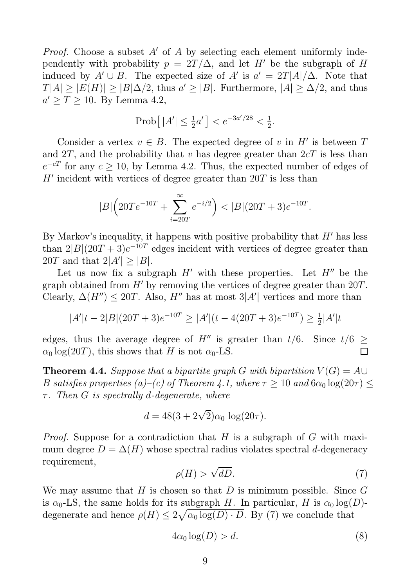*Proof.* Choose a subset A' of A by selecting each element uniformly independently with probability  $p = 2T/\Delta$ , and let H' be the subgraph of H induced by  $A' \cup B$ . The expected size of  $A'$  is  $a' = 2T|A|/\Delta$ . Note that  $T[A] \geq |E(H)| \geq |B|\Delta/2$ , thus  $a' \geq |B|$ . Furthermore,  $|A| \geq \Delta/2$ , and thus  $a' \geq T \geq 10$ . By Lemma 4.2,

$$
Prob[|A'| \le \frac{1}{2}a'] < e^{-3a'/28} < \frac{1}{2}.
$$

Consider a vertex  $v \in B$ . The expected degree of v in H' is between T and  $2T$ , and the probability that v has degree greater than  $2cT$  is less than  $e^{-cT}$  for any  $c \ge 10$ , by Lemma 4.2. Thus, the expected number of edges of  $H'$  incident with vertices of degree greater than  $20T$  is less than

$$
|B|\left(20Te^{-10T} + \sum_{i=20T}^{\infty} e^{-i/2}\right) < |B|(20T+3)e^{-10T}.
$$

By Markov's inequality, it happens with positive probability that  $H'$  has less than  $2|B|(20T+3)e^{-10T}$  edges incident with vertices of degree greater than 20T and that  $2|A'| \geq |B|$ .

Let us now fix a subgraph  $H'$  with these properties. Let  $H''$  be the graph obtained from H′ by removing the vertices of degree greater than 20T. Clearly,  $\Delta(H'') \leq 20T$ . Also,  $H''$  has at most 3|A'| vertices and more than

$$
|A'|t - 2|B|(20T + 3)e^{-10T} \ge |A'|(t - 4(20T + 3)e^{-10T}) \ge \frac{1}{2}|A'|t
$$

edges, thus the average degree of H'' is greater than  $t/6$ . Since  $t/6 \ge$  $\alpha_0 \log(20T)$ , this shows that H is not  $\alpha_0$ -LS.

**Theorem 4.4.** *Suppose that a bipartite graph* G *with bipartition*  $V(G) = AU$ B satisfies properties (a)–(c) of Theorem 4.1, where  $\tau \geq 10$  and  $6\alpha_0 \log(20\tau) \leq$ τ *. Then* G *is spectrally* d*-degenerate, where*

$$
d = 48(3 + 2\sqrt{2})\alpha_0 \log(20\tau).
$$

*Proof.* Suppose for a contradiction that H is a subgraph of G with maximum degree  $D = \Delta(H)$  whose spectral radius violates spectral d-degeneracy requirement,

$$
\rho(H) > \sqrt{dD}.\tag{7}
$$

We may assume that H is chosen so that D is minimum possible. Since  $G$ is  $\alpha_0$ -LS, the same holds for its subgraph H. In particular, H is  $\alpha_0 \log(D)$ degenerate and hence  $\rho(H) \leq 2\sqrt{\alpha_0 \log(D) \cdot D}$ . By (7) we conclude that

$$
4\alpha_0 \log(D) > d. \tag{8}
$$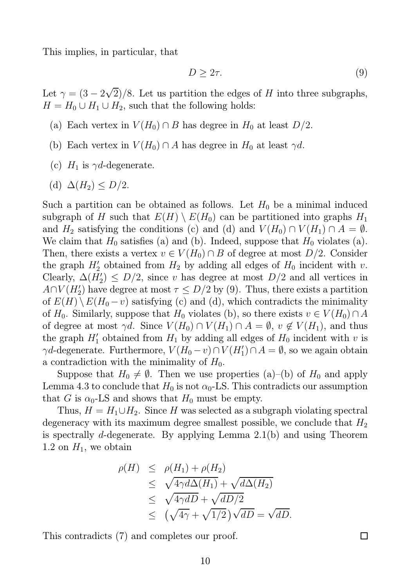This implies, in particular, that

$$
D \geq 2\tau. \tag{9}
$$

Let  $\gamma = (3 - 2\sqrt{2})/8$ . Let us partition the edges of H into three subgraphs,  $H = H_0 \cup H_1 \cup H_2$ , such that the following holds:

- (a) Each vertex in  $V(H_0) \cap B$  has degree in  $H_0$  at least  $D/2$ .
- (b) Each vertex in  $V(H_0) \cap A$  has degree in  $H_0$  at least  $\gamma d$ .
- (c)  $H_1$  is  $\gamma d$ -degenerate.
- (d)  $\Delta(H_2) \leq D/2$ .

Such a partition can be obtained as follows. Let  $H_0$  be a minimal induced subgraph of H such that  $E(H) \setminus E(H_0)$  can be partitioned into graphs  $H_1$ and  $H_2$  satisfying the conditions (c) and (d) and  $V(H_0) \cap V(H_1) \cap A = \emptyset$ . We claim that  $H_0$  satisfies (a) and (b). Indeed, suppose that  $H_0$  violates (a). Then, there exists a vertex  $v \in V(H_0) \cap B$  of degree at most  $D/2$ . Consider the graph  $H'_2$  obtained from  $H_2$  by adding all edges of  $H_0$  incident with v. Clearly,  $\Delta(H'_2) \leq D/2$ , since v has degree at most  $D/2$  and all vertices in  $A \cap V(H_2')$  have degree at most  $\tau \leq D/2$  by (9). Thus, there exists a partition of  $E(H) \setminus E(H_0 - v)$  satisfying (c) and (d), which contradicts the minimality of  $H_0$ . Similarly, suppose that  $H_0$  violates (b), so there exists  $v \in V(H_0) \cap A$ of degree at most  $\gamma d$ . Since  $V(H_0) \cap V(H_1) \cap A = \emptyset$ ,  $v \notin V(H_1)$ , and thus the graph  $H'_1$  obtained from  $H_1$  by adding all edges of  $H_0$  incident with v is  $\gamma d$ -degenerate. Furthermore,  $V(H_0 - v) \cap V(H'_1) \cap A = \emptyset$ , so we again obtain a contradiction with the minimality of  $H_0$ .

Suppose that  $H_0 \neq \emptyset$ . Then we use properties (a)–(b) of  $H_0$  and apply Lemma 4.3 to conclude that  $H_0$  is not  $\alpha_0$ -LS. This contradicts our assumption that G is  $\alpha_0$ -LS and shows that  $H_0$  must be empty.

Thus,  $H = H_1 \cup H_2$ . Since H was selected as a subgraph violating spectral degeneracy with its maximum degree smallest possible, we conclude that  $H_2$ is spectrally d-degenerate. By applying Lemma 2.1(b) and using Theorem 1.2 on  $H_1$ , we obtain

$$
\rho(H) \leq \rho(H_1) + \rho(H_2)
$$
  
\n
$$
\leq \sqrt{4\gamma d\Delta(H_1)} + \sqrt{d\Delta(H_2)}
$$
  
\n
$$
\leq \sqrt{4\gamma dD} + \sqrt{dD/2}
$$
  
\n
$$
\leq (\sqrt{4\gamma} + \sqrt{1/2})\sqrt{dD} = \sqrt{dD}.
$$

This contradicts (7) and completes our proof.

 $\Box$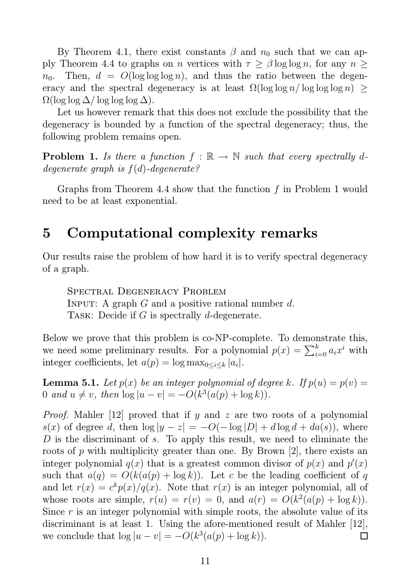By Theorem 4.1, there exist constants  $\beta$  and  $n_0$  such that we can apply Theorem 4.4 to graphs on n vertices with  $\tau \geq \beta \log \log n$ , for any  $n \geq$  $n_0$ . Then,  $d = O(\log \log \log n)$ , and thus the ratio between the degeneracy and the spectral degeneracy is at least  $\Omega(\log \log n / \log \log \log n)$  >  $\Omega(\log \log \Delta / \log \log \log \Delta).$ 

Let us however remark that this does not exclude the possibility that the degeneracy is bounded by a function of the spectral degeneracy; thus, the following problem remains open.

**Problem 1.** *Is there a function*  $f : \mathbb{R} \to \mathbb{N}$  *such that every spectrally ddegenerate graph is* f(d)*-degenerate?*

Graphs from Theorem 4.4 show that the function f in Problem 1 would need to be at least exponential.

# 5 Computational complexity remarks

Our results raise the problem of how hard it is to verify spectral degeneracy of a graph.

Spectral Degeneracy Problem INPUT: A graph  $G$  and a positive rational number  $d$ . TASK: Decide if  $G$  is spectrally  $d$ -degenerate.

Below we prove that this problem is co-NP-complete. To demonstrate this, we need some preliminary results. For a polynomial  $p(x) = \sum_{i=0}^{k} a_i x^i$  with integer coefficients, let  $a(p) = \log \max_{0 \le i \le k} |a_i|$ .

**Lemma 5.1.** Let  $p(x)$  be an integer polynomial of degree k. If  $p(u) = p(v)$ 0 and  $u \neq v$ , then  $\log |u - v| = -O(k^3(a(p) + \log k)).$ 

*Proof.* Mahler [12] proved that if y and z are two roots of a polynomial s(x) of degree d, then  $\log |y - z| = -O(-\log |D| + d \log d + da(s))$ , where D is the discriminant of s. To apply this result, we need to eliminate the roots of p with multiplicity greater than one. By Brown  $[2]$ , there exists an integer polynomial  $q(x)$  that is a greatest common divisor of  $p(x)$  and  $p'(x)$ such that  $a(q) = O(k(a(p) + \log k))$ . Let c be the leading coefficient of q and let  $r(x) = c^k p(x)/q(x)$ . Note that  $r(x)$  is an integer polynomial, all of whose roots are simple,  $r(u) = r(v) = 0$ , and  $a(r) = O(k^2(a(p) + \log k))$ . Since  $r$  is an integer polynomial with simple roots, the absolute value of its discriminant is at least 1. Using the afore-mentioned result of Mahler [12], we conclude that  $\log |u - v| = -O(k^3(a(p) + \log k)).$  $\Box$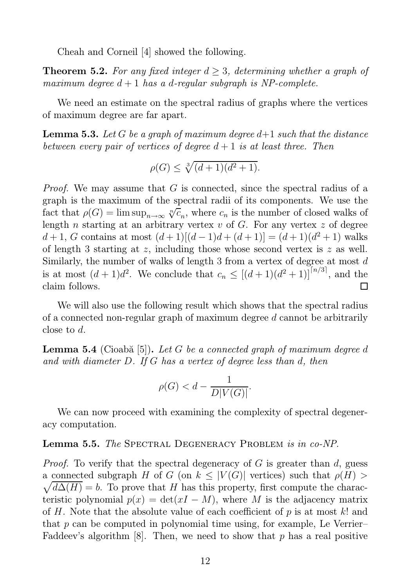Cheah and Corneil [4] showed the following.

**Theorem 5.2.** For any fixed integer  $d \geq 3$ , determining whether a graph of *maximum degree* d + 1 *has a* d*-regular subgraph is NP-complete.*

We need an estimate on the spectral radius of graphs where the vertices of maximum degree are far apart.

Lemma 5.3. *Let* G *be a graph of maximum degree* d+1 *such that the distance between every pair of vertices of degree* d + 1 *is at least three. Then*

$$
\rho(G) \le \sqrt[3]{(d+1)(d^2+1)}.
$$

*Proof.* We may assume that G is connected, since the spectral radius of a graph is the maximum of the spectral radii of its components. We use the fact that  $\rho(G) = \limsup_{n \to \infty} \sqrt[n]{c_n}$ , where  $c_n$  is the number of closed walks of length n starting at an arbitrary vertex  $v$  of  $G$ . For any vertex  $z$  of degree d + 1, G contains at most  $(d+1)[(d-1)d+(d+1)] = (d+1)(d^2+1)$  walks of length 3 starting at z, including those whose second vertex is z as well. Similarly, the number of walks of length 3 from a vertex of degree at most  $d$ is at most  $(d+1)d^2$ . We conclude that  $c_n \leq [(d+1)(d^2+1)]^{\lceil n/3 \rceil}$ , and the claim follows.  $\Box$ 

We will also use the following result which shows that the spectral radius of a connected non-regular graph of maximum degree d cannot be arbitrarily close to d.

**Lemma 5.4** (Cioabă [5]). Let G be a connected graph of maximum degree d *and with diameter* D*. If* G *has a vertex of degree less than* d*, then*

$$
\rho(G) < d - \frac{1}{D|V(G)|}.
$$

We can now proceed with examining the complexity of spectral degeneracy computation.

#### Lemma 5.5. *The* Spectral Degeneracy Problem *is in co-NP.*

*Proof.* To verify that the spectral degeneracy of G is greater than d, guess  $\sqrt{d\Delta(H)} = b$ . To prove that H has this property, first compute the characa connected subgraph H of G (on  $k \leq |V(G)|$  vertices) such that  $\rho(H)$ teristic polynomial  $p(x) = det(xI - M)$ , where M is the adjacency matrix of H. Note that the absolute value of each coefficient of  $p$  is at most  $k!$  and that  $p$  can be computed in polynomial time using, for example, Le Verrier– Faddeev's algorithm [8]. Then, we need to show that  $p$  has a real positive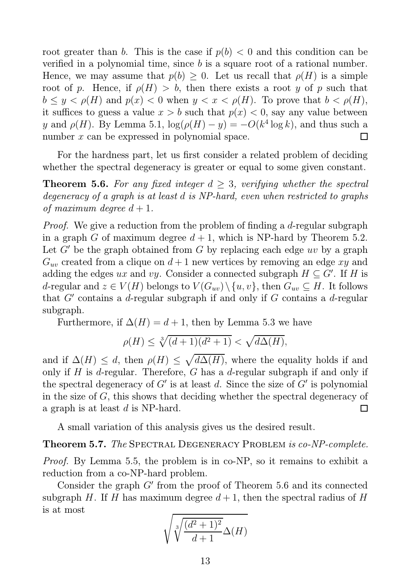root greater than b. This is the case if  $p(b) < 0$  and this condition can be verified in a polynomial time, since b is a square root of a rational number. Hence, we may assume that  $p(b) \geq 0$ . Let us recall that  $p(H)$  is a simple root of p. Hence, if  $\rho(H) > b$ , then there exists a root y of p such that  $b \leq y < \rho(H)$  and  $p(x) < 0$  when  $y < x < \rho(H)$ . To prove that  $b < \rho(H)$ , it suffices to guess a value  $x > b$  such that  $p(x) < 0$ , say any value between y and  $\rho(H)$ . By Lemma 5.1,  $\log(\rho(H) - y) = -O(k^4 \log k)$ , and thus such a number x can be expressed in polynomial space.  $\Box$ 

For the hardness part, let us first consider a related problem of deciding whether the spectral degeneracy is greater or equal to some given constant.

**Theorem 5.6.** For any fixed integer  $d \geq 3$ , verifying whether the spectral *degeneracy of a graph is at least* d *is NP-hard, even when restricted to graphs of maximum degree*  $d+1$ *.* 

*Proof.* We give a reduction from the problem of finding a d-regular subgraph in a graph G of maximum degree  $d+1$ , which is NP-hard by Theorem 5.2. Let  $G'$  be the graph obtained from G by replacing each edge uv by a graph  $G_{uv}$  created from a clique on  $d+1$  new vertices by removing an edge xy and adding the edges ux and vy. Consider a connected subgraph  $H \subseteq G'$ . If H is d-regular and  $z \in V(H)$  belongs to  $V(G_{uv}) \setminus \{u, v\}$ , then  $G_{uv} \subseteq H$ . It follows that  $G'$  contains a d-regular subgraph if and only if  $G$  contains a d-regular subgraph.

Furthermore, if  $\Delta(H) = d + 1$ , then by Lemma 5.3 we have

$$
\rho(H) \le \sqrt[3]{(d+1)(d^2+1)} < \sqrt{d\Delta(H)},
$$

and if  $\Delta(H) \leq d$ , then  $\rho(H) \leq \sqrt{d\Delta(H)}$ , where the equality holds if and only if H is d-regular. Therefore, G has a d-regular subgraph if and only if the spectral degeneracy of  $G'$  is at least d. Since the size of  $G'$  is polynomial in the size of G, this shows that deciding whether the spectral degeneracy of a graph is at least  $d$  is NP-hard.  $\Box$ 

A small variation of this analysis gives us the desired result.

Theorem 5.7. *The* Spectral Degeneracy Problem *is co-NP-complete.*

*Proof.* By Lemma 5.5, the problem is in co-NP, so it remains to exhibit a reduction from a co-NP-hard problem.

Consider the graph  $G'$  from the proof of Theorem 5.6 and its connected subgraph H. If H has maximum degree  $d+1$ , then the spectral radius of H is at most

$$
\sqrt{\sqrt[3]{\frac{(d^2+1)^2}{d+1}}\Delta(H)}
$$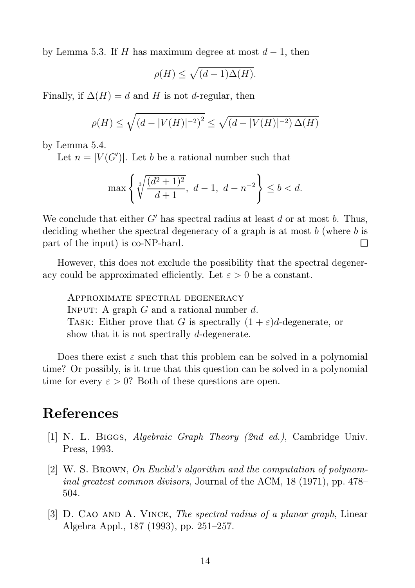by Lemma 5.3. If H has maximum degree at most  $d-1$ , then

$$
\rho(H) \le \sqrt{(d-1)\Delta(H)}.
$$

Finally, if  $\Delta(H) = d$  and H is not d-regular, then

$$
\rho(H) \le \sqrt{(d - |V(H)|^{-2})^2} \le \sqrt{(d - |V(H)|^{-2})\,\Delta(H)}
$$

by Lemma 5.4.

Let  $n = |V(G')|$ . Let b be a rational number such that

$$
\max\left\{\sqrt[3]{\frac{(d^2+1)^2}{d+1}},\ d-1,\ d-n^{-2}\right\}\leq b
$$

We conclude that either  $G'$  has spectral radius at least d or at most b. Thus, deciding whether the spectral degeneracy of a graph is at most b (where b is part of the input) is co-NP-hard. П

However, this does not exclude the possibility that the spectral degeneracy could be approximated efficiently. Let  $\varepsilon > 0$  be a constant.

Approximate spectral degeneracy INPUT: A graph  $G$  and a rational number  $d$ . TASK: Either prove that G is spectrally  $(1 + \varepsilon)d$ -degenerate, or show that it is not spectrally d-degenerate.

Does there exist  $\varepsilon$  such that this problem can be solved in a polynomial time? Or possibly, is it true that this question can be solved in a polynomial time for every  $\varepsilon > 0$ ? Both of these questions are open.

## References

- [1] N. L. Biggs, *Algebraic Graph Theory (2nd ed.)*, Cambridge Univ. Press, 1993.
- [2] W. S. Brown, *On Euclid's algorithm and the computation of polynominal greatest common divisors*, Journal of the ACM, 18 (1971), pp. 478– 504.
- [3] D. Cao and A. Vince, *The spectral radius of a planar graph*, Linear Algebra Appl., 187 (1993), pp. 251–257.